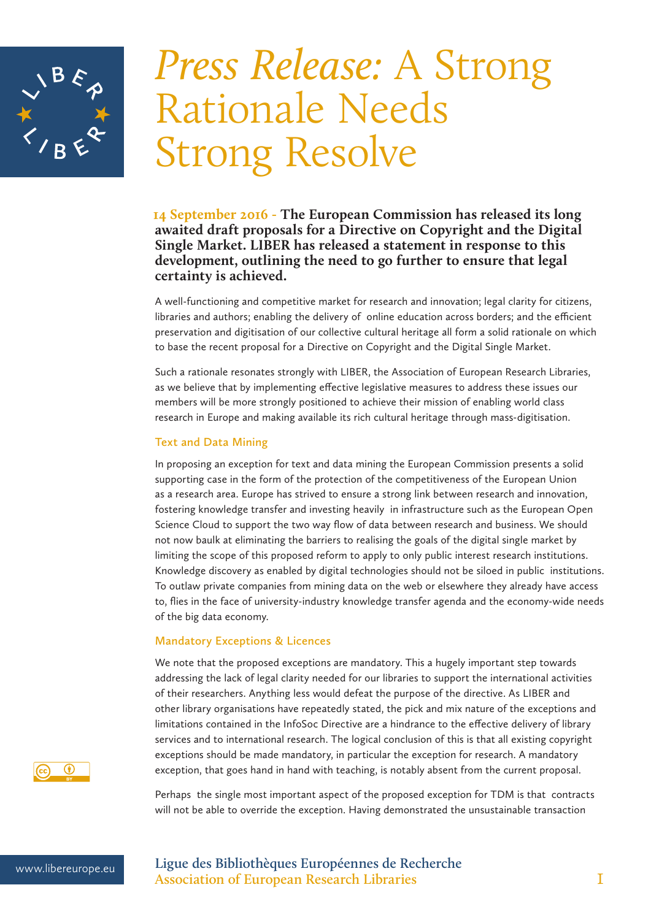

# *Press Release:* A Strong Rationale Needs Strong Resolve

 **14 September 2016 - The European Commission has released its long awaited draft proposals for a Directive on Copyright and the Digital Single Market. LIBER has released a statement in response to this development, outlining the need to go further to ensure that legal certainty is achieved.**

A well-functioning and competitive market for research and innovation; legal clarity for citizens, libraries and authors; enabling the delivery of online education across borders; and the efficient preservation and digitisation of our collective cultural heritage all form a solid rationale on which to base the recent proposal for a Directive on Copyright and the Digital Single Market.

Such a rationale resonates strongly with LIBER, the Association of European Research Libraries, as we believe that by implementing effective legislative measures to address these issues our members will be more strongly positioned to achieve their mission of enabling world class research in Europe and making available its rich cultural heritage through mass-digitisation.

#### **Text and Data Mining**

In proposing an exception for text and data mining the European Commission presents a solid supporting case in the form of the protection of the competitiveness of the European Union as a research area. Europe has strived to ensure a strong link between research and innovation, fostering knowledge transfer and investing heavily in infrastructure such as the European Open Science Cloud to support the two way flow of data between research and business. We should not now baulk at eliminating the barriers to realising the goals of the digital single market by limiting the scope of this proposed reform to apply to only public interest research institutions. Knowledge discovery as enabled by digital technologies should not be siloed in public institutions. To outlaw private companies from mining data on the web or elsewhere they already have access to, flies in the face of university-industry knowledge transfer agenda and the economy-wide needs of the big data economy.

#### **Mandatory Exceptions & Licences**

We note that the proposed exceptions are mandatory. This a hugely important step towards addressing the lack of legal clarity needed for our libraries to support the international activities of their researchers. Anything less would defeat the purpose of the directive. As LIBER and other library organisations have repeatedly stated, the pick and mix nature of the exceptions and limitations contained in the InfoSoc Directive are a hindrance to the effective delivery of library services and to international research. The logical conclusion of this is that all existing copyright exceptions should be made mandatory, in particular the exception for research. A mandatory exception, that goes hand in hand with teaching, is notably absent from the current proposal.

Perhaps the single most important aspect of the proposed exception for TDM is that contracts will not be able to override the exception. Having demonstrated the unsustainable transaction



www.libereurope.eu **Ligue des Bibliothèques Européennes de Recherche Association of European Research Libraries** 1